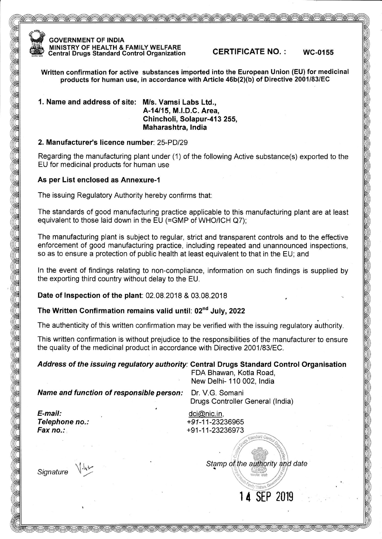

GOVERNMENT OF INDIA MINISTRY OF HEALTH & FAMILY WELFARE Central Drugs Standard Control Organization CERTIFICATE NO. : wc-o155

Written confirmation for active substances imported into the European Union (EU) for medicinal products for human use, in accordance with Article  $46b(2)(b)$  of Directive 2001/83/EC

1. Name and address of site: M/s. Vamsi Labs Ltd.,

A-14115, M.l.D.C. Area, Chincholi, Solapur-413 255, Maharashtra, lndia

#### 2. Manufacturer's licence number: 25-PDl29

Regarding the manufacturing plant under (1) of the following Active substance(s) exported to the EU for medicinal products for human use

#### As per List enclosed as Annexure-1

The issuing Regulatory Authority hereby confirms that:

The standards of good manufacturing practice applicable to this manufacturing plant are at least equivalent to those laid down in the EU (=GMP of WHO/ICH Q7);

The manufacturing plant is subject to regular, strict and transparent controls and to the effective enforcement of good manufacturing practice, including repeated and unannounced inspections, so as to ensure a protection of public health at least equivalent to that in the EU; and

ln the event of findings relating to non-compliance, information on such findings is supplied by the exporting third country without delay to the EU.

Date of Inspection of the plant: 02.08.2018 & 03.08.2018

## The Written Confirmation remains valid until: 02<sup>nd</sup> July, 2022

The authenticity of this written confirmation may be verified with the issuing regulatory authority.

This written confirmation is without prejudice to the responsibilities of the manufacturer to ensure the quality of the medicinal product in accordance with Directive 2001/83/EC.

#### Address of the issuing regulatory authority: Central Drugs Standard Control Organisation FDA Bhawan, Kotla Road,

New Delhi- 110 002, lndia

Name and function of responsible person: Dr. V.G. Somani

Drugs Controller General (lndia)

E-mail: Telephone no.: Fax no.:

dci@nic. in, +91-11-23236965 +91-11-23236973

Stamp of the authority and date

14 SEP 2019

Signature  $\sqrt{\frac{1}{2}}$